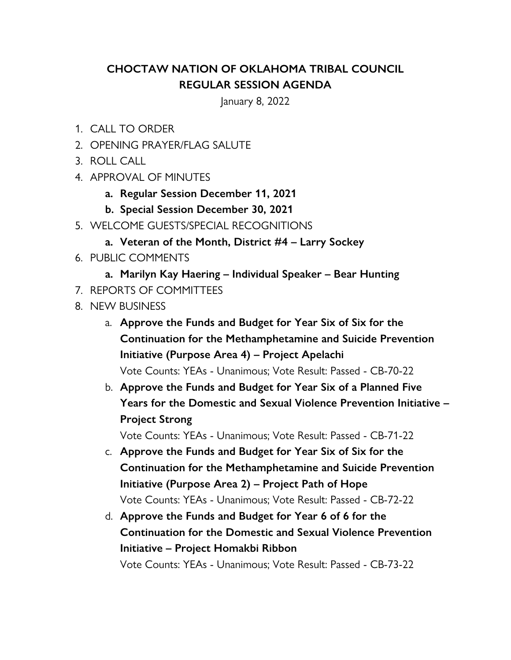## **CHOCTAW NATION OF OKLAHOMA TRIBAL COUNCIL REGULAR SESSION AGENDA**

January 8, 2022

- 1. CALL TO ORDER
- 2. OPENING PRAYER/FLAG SALUTE
- 3. ROLL CALL
- 4. APPROVAL OF MINUTES
	- **a. Regular Session December 11, 2021**
	- **b. Special Session December 30, 2021**
- 5. WELCOME GUESTS/SPECIAL RECOGNITIONS
	- **a. Veteran of the Month, District #4 Larry Sockey**
- 6. PUBLIC COMMENTS
	- **a. Marilyn Kay Haering Individual Speaker Bear Hunting**
- 7. REPORTS OF COMMITTEES
- 8. NEW BUSINESS
	- a. **Approve the Funds and Budget for Year Six of Six for the Continuation for the Methamphetamine and Suicide Prevention Initiative (Purpose Area 4) – Project Apelachi**

Vote Counts: YEAs - Unanimous; Vote Result: Passed - CB-70-22

b. **Approve the Funds and Budget for Year Six of a Planned Five Years for the Domestic and Sexual Violence Prevention Initiative – Project Strong**

Vote Counts: YEAs - Unanimous; Vote Result: Passed - CB-71-22

- c. **Approve the Funds and Budget for Year Six of Six for the Continuation for the Methamphetamine and Suicide Prevention Initiative (Purpose Area 2) – Project Path of Hope** Vote Counts: YEAs - Unanimous; Vote Result: Passed - CB-72-22
- d. **Approve the Funds and Budget for Year 6 of 6 for the Continuation for the Domestic and Sexual Violence Prevention Initiative – Project Homakbi Ribbon**

Vote Counts: YEAs - Unanimous; Vote Result: Passed - CB-73-22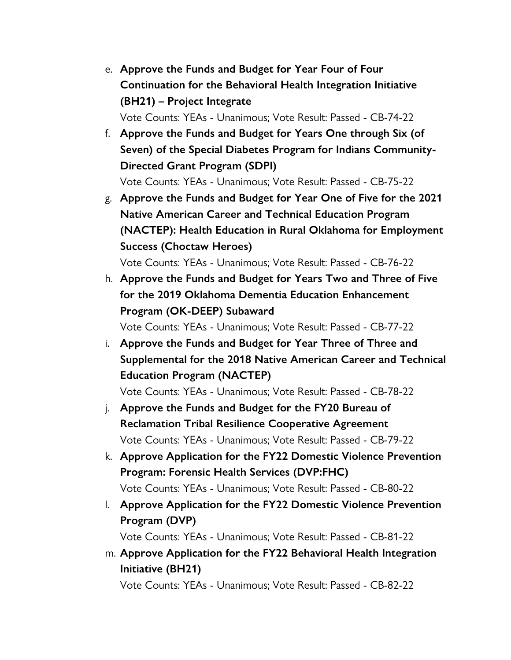- e. **Approve the Funds and Budget for Year Four of Four Continuation for the Behavioral Health Integration Initiative (BH21) – Project Integrate** Vote Counts: YEAs - Unanimous; Vote Result: Passed - CB-74-22
- f. **Approve the Funds and Budget for Years One through Six (of Seven) of the Special Diabetes Program for Indians Community-Directed Grant Program (SDPI)** Vote Counts: YEAs - Unanimous; Vote Result: Passed - CB-75-22
- g. **Approve the Funds and Budget for Year One of Five for the 2021 Native American Career and Technical Education Program (NACTEP): Health Education in Rural Oklahoma for Employment Success (Choctaw Heroes)**

Vote Counts: YEAs - Unanimous; Vote Result: Passed - CB-76-22

h. **Approve the Funds and Budget for Years Two and Three of Five for the 2019 Oklahoma Dementia Education Enhancement Program (OK-DEEP) Subaward**

Vote Counts: YEAs - Unanimous; Vote Result: Passed - CB-77-22

i. **Approve the Funds and Budget for Year Three of Three and Supplemental for the 2018 Native American Career and Technical Education Program (NACTEP)**

Vote Counts: YEAs - Unanimous; Vote Result: Passed - CB-78-22

- j. **Approve the Funds and Budget for the FY20 Bureau of Reclamation Tribal Resilience Cooperative Agreement** Vote Counts: YEAs - Unanimous; Vote Result: Passed - CB-79-22
- k. **Approve Application for the FY22 Domestic Violence Prevention Program: Forensic Health Services (DVP:FHC)** Vote Counts: YEAs - Unanimous; Vote Result: Passed - CB-80-22
- l. **Approve Application for the FY22 Domestic Violence Prevention Program (DVP)**

Vote Counts: YEAs - Unanimous; Vote Result: Passed - CB-81-22

m. **Approve Application for the FY22 Behavioral Health Integration Initiative (BH21)**

Vote Counts: YEAs - Unanimous; Vote Result: Passed - CB-82-22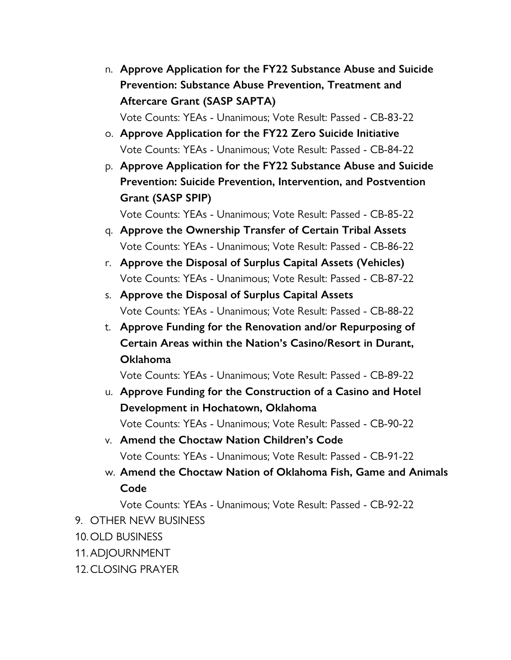- n. **Approve Application for the FY22 Substance Abuse and Suicide Prevention: Substance Abuse Prevention, Treatment and Aftercare Grant (SASP SAPTA)** Vote Counts: YEAs - Unanimous; Vote Result: Passed - CB-83-22
- o. **Approve Application for the FY22 Zero Suicide Initiative** Vote Counts: YEAs - Unanimous; Vote Result: Passed - CB-84-22
- p. **Approve Application for the FY22 Substance Abuse and Suicide Prevention: Suicide Prevention, Intervention, and Postvention Grant (SASP SPIP)**

Vote Counts: YEAs - Unanimous; Vote Result: Passed - CB-85-22

- q. **Approve the Ownership Transfer of Certain Tribal Assets** Vote Counts: YEAs - Unanimous; Vote Result: Passed - CB-86-22
- r. **Approve the Disposal of Surplus Capital Assets (Vehicles)** Vote Counts: YEAs - Unanimous; Vote Result: Passed - CB-87-22
- s. **Approve the Disposal of Surplus Capital Assets** Vote Counts: YEAs - Unanimous; Vote Result: Passed - CB-88-22
- t. **Approve Funding for the Renovation and/or Repurposing of Certain Areas within the Nation's Casino/Resort in Durant, Oklahoma**

Vote Counts: YEAs - Unanimous; Vote Result: Passed - CB-89-22

- u. **Approve Funding for the Construction of a Casino and Hotel Development in Hochatown, Oklahoma** Vote Counts: YEAs - Unanimous; Vote Result: Passed - CB-90-22
- v. **Amend the Choctaw Nation Children's Code** Vote Counts: YEAs - Unanimous; Vote Result: Passed - CB-91-22
- w. **Amend the Choctaw Nation of Oklahoma Fish, Game and Animals Code**

Vote Counts: YEAs - Unanimous; Vote Result: Passed - CB-92-22

- 9. OTHER NEW BUSINESS
- 10. OLD BUSINESS
- 11.ADJOURNMENT
- 12.CLOSING PRAYER